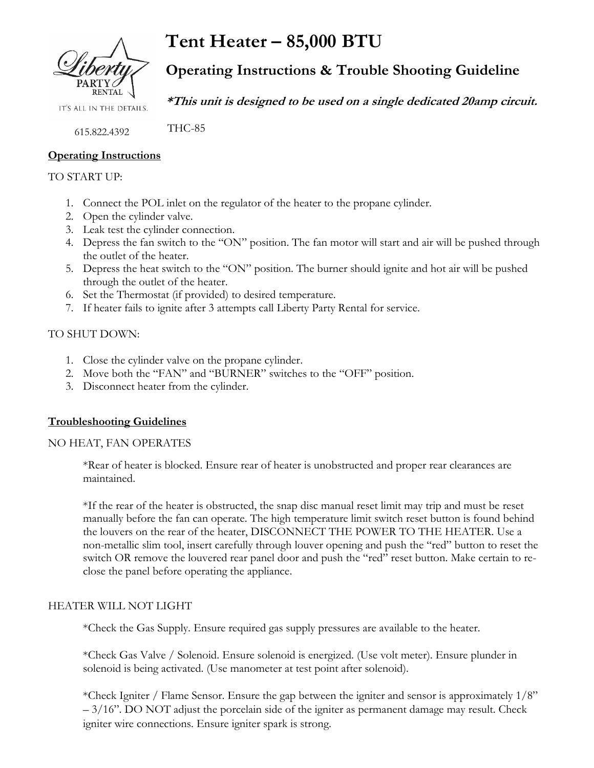

IT'S ALL IN THE DETAILS.

615.822.4392

### **Operating Instructions**

#### TO START UP:

- 1. Connect the POL inlet on the regulator of the heater to the propane cylinder.
- 2. Open the cylinder valve.
- 3. Leak test the cylinder connection.
- 4. Depress the fan switch to the "ON" position. The fan motor will start and air will be pushed through the outlet of the heater.
- 5. Depress the heat switch to the "ON" position. The burner should ignite and hot air will be pushed through the outlet of the heater.
- 6. Set the Thermostat (if provided) to desired temperature.
- 7. If heater fails to ignite after 3 attempts call Liberty Party Rental for service.

### TO SHUT DOWN:

- 1. Close the cylinder valve on the propane cylinder.
- 2. Move both the "FAN" and "BURNER" switches to the "OFF" position.
- 3. Disconnect heater from the cylinder.

## **Troubleshooting Guidelines**

#### NO HEAT, FAN OPERATES

\*Rear of heater is blocked. Ensure rear of heater is unobstructed and proper rear clearances are maintained.

\*If the rear of the heater is obstructed, the snap disc manual reset limit may trip and must be reset manually before the fan can operate. The high temperature limit switch reset button is found behind the louvers on the rear of the heater, DISCONNECT THE POWER TO THE HEATER. Use a non-metallic slim tool, insert carefully through louver opening and push the "red" button to reset the switch OR remove the louvered rear panel door and push the "red" reset button. Make certain to reclose the panel before operating the appliance.

#### HEATER WILL NOT LIGHT

\*Check the Gas Supply. Ensure required gas supply pressures are available to the heater.

\*Check Gas Valve / Solenoid. Ensure solenoid is energized. (Use volt meter). Ensure plunder in solenoid is being activated. (Use manometer at test point after solenoid).

\*Check Igniter / Flame Sensor. Ensure the gap between the igniter and sensor is approximately 1/8"  $-3/16$ ". DO NOT adjust the porcelain side of the igniter as permanent damage may result. Check igniter wire connections. Ensure igniter spark is strong.

**Tent Heater – 85,000 BTU Operating Instructions & Trouble Shooting Guideline**

**\*This unit is designed to be used on a single dedicated 20amp circuit.**

THC-85